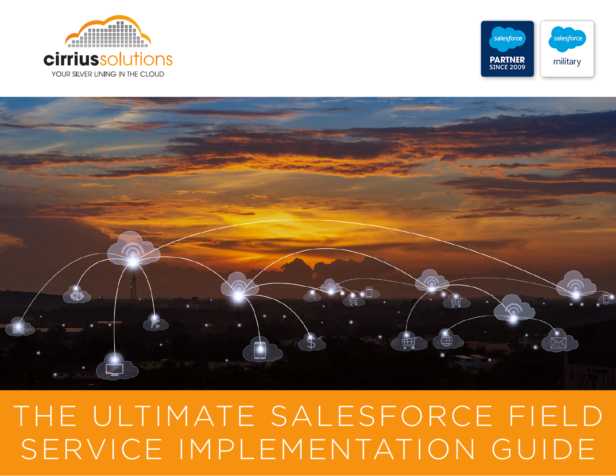### ---------------**cirrius**solutions YOUR SILVER LINING IN THE CLOUD





## THE ULTIMATE SALESFORCE FIELD SERVICE IMPLEMENTATION GUIDE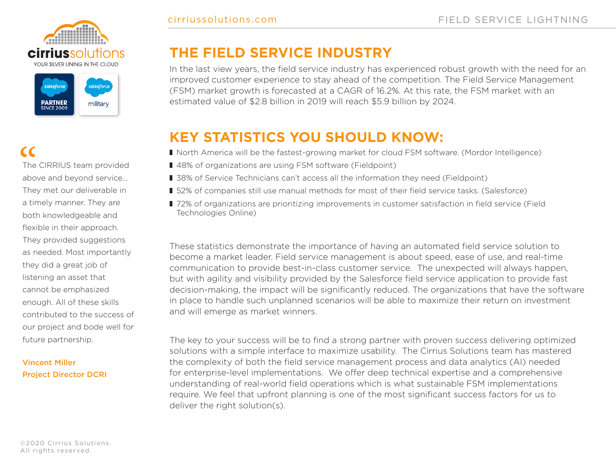



The CIRRIUS team provided CC<br>The CIRRIUS team provided<br>above and beyond service... They met our deliverable in a timely manner. They are both knowledgeable and flexible in their approach. They provided suggestions as needed. Most importantly they did a great job of listening an asset that cannot be emphasized enough. All of these skills contributed to the success of our project and bode well for future partnership.

#### Vincent Miller Project Director DCRI

#### **THE FIELD SERVICE INDUSTRY**

In the last view years, the field service industry has experienced robust growth with the need for an improved customer experience to stay ahead of the competition. The Field Service Management (FSM) market growth is forecasted at a CAGR of 16.2%. At this rate, the FSM market with an estimated value of \$2.8 billion in 2019 will reach \$5.9 billion by 2024.

#### **KEY STATISTICS YOU SHOULD KNOW:**

- North America will be the fastest-growing market for cloud FSM software. (Mordor Intelligence)
- 48% of organizations are using FSM software (Fieldpoint)
- 38% of Service Technicians can't access all the information they need (Fieldpoint)
- 52% of companies still use manual methods for most of their field service tasks. (Salesforce)
- 72% of organizations are prioritizing improvements in customer satisfaction in field service (Field Technologies Online)

These statistics demonstrate the importance of having an automated field service solution to become a market leader. Field service management is about speed, ease of use, and real-time communication to provide best-in-class customer service. The unexpected will always happen, but with agility and visibility provided by the Salesforce field service application to provide fast decision-making, the impact will be significantly reduced. The organizations that have the software in place to handle such unplanned scenarios will be able to maximize their return on investment and will emerge as market winners.

The key to your success will be to find a strong partner with proven success delivering optimized solutions with a simple interface to maximize usability. The Cirrius Solutions team has mastered the complexity of both the field service management process and data analytics (AI) needed for enterprise-level implementations. We offer deep technical expertise and a comprehensive understanding of real-world field operations which is what sustainable FSM implementations require. We feel that upfront planning is one of the most significant success factors for us to deliver the right solution(s).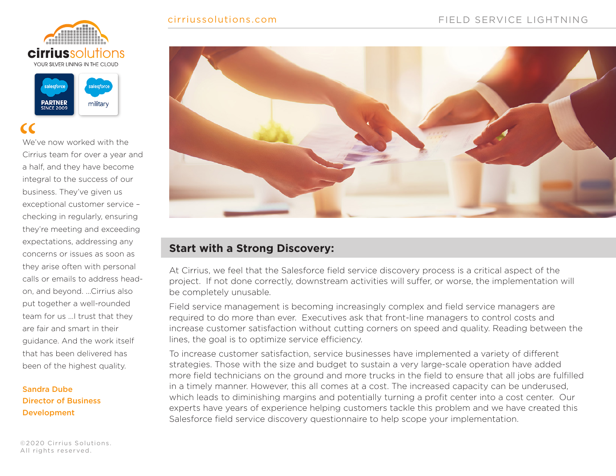#### cirriussolutions.com





We've now worked with the Cirrius team for over a year and a half, and they have become integral to the success of our business. They've given us exceptional customer service – checking in regularly, ensuring they're meeting and exceeding expectations, addressing any concerns or issues as soon as they arise often with personal calls or emails to address headon, and beyond. ...Cirrius also put together a well-rounded team for us ...I trust that they are fair and smart in their guidance. And the work itself that has been delivered has been of the highest quality. "

#### Sandra Dube Director of Business Development

©2020 Cirrius Solutions. All rights reserved.



#### **Start with a Strong Discovery:**

At Cirrius, we feel that the Salesforce field service discovery process is a critical aspect of the project. If not done correctly, downstream activities will suffer, or worse, the implementation will be completely unusable.

Field service management is becoming increasingly complex and field service managers are required to do more than ever. Executives ask that front-line managers to control costs and increase customer satisfaction without cutting corners on speed and quality. Reading between the lines, the goal is to optimize service efficiency.

To increase customer satisfaction, service businesses have implemented a variety of different strategies. Those with the size and budget to sustain a very large-scale operation have added more field technicians on the ground and more trucks in the field to ensure that all jobs are fulfilled in a timely manner. However, this all comes at a cost. The increased capacity can be underused, which leads to diminishing margins and potentially turning a profit center into a cost center. Our experts have years of experience helping customers tackle this problem and we have created this Salesforce field service discovery questionnaire to help scope your implementation.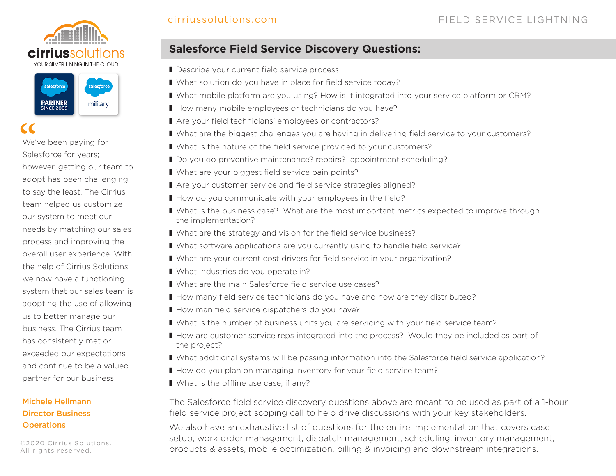



# "<br>
We'<br>
Sale

We've been paying for Salesforce for years; however, getting our team to adopt has been challenging to say the least. The Cirrius team helped us customize our system to meet our needs by matching our sales process and improving the overall user experience. With the help of Cirrius Solutions we now have a functioning system that our sales team is adopting the use of allowing us to better manage our business. The Cirrius team has consistently met or exceeded our expectations and continue to be a valued partner for our business!

#### Michele Hellmann Director Business **Operations**

©2020 Cirrius Solutions. All rights reserved.

#### **Salesforce Field Service Discovery Questions:**

- Describe your current field service process.
- What solution do you have in place for field service today?
- What mobile platform are you using? How is it integrated into your service platform or CRM?
- How many mobile employees or technicians do you have?
- Are your field technicians' employees or contractors?
- What are the biggest challenges you are having in delivering field service to your customers?
- What is the nature of the field service provided to your customers?
- Do you do preventive maintenance? repairs? appointment scheduling?
- What are your biggest field service pain points?
	- Are your customer service and field service strategies aligned?
- How do you communicate with your employees in the field?
- What is the business case? What are the most important metrics expected to improve through the implementation?
- What are the strategy and vision for the field service business?
- What software applications are you currently using to handle field service?
- What are your current cost drivers for field service in your organization?
- What industries do you operate in?
- What are the main Salesforce field service use cases?
- How many field service technicians do you have and how are they distributed?
- How man field service dispatchers do you have?
- What is the number of business units you are servicing with your field service team?
- How are customer service reps integrated into the process? Would they be included as part of the project?
- What additional systems will be passing information into the Salesforce field service application?
- How do you plan on managing inventory for your field service team?
- What is the offline use case, if any?

The Salesforce field service discovery questions above are meant to be used as part of a 1-hour field service project scoping call to help drive discussions with your key stakeholders.

We also have an exhaustive list of questions for the entire implementation that covers case setup, work order management, dispatch management, scheduling, inventory management, products & assets, mobile optimization, billing & invoicing and downstream integrations.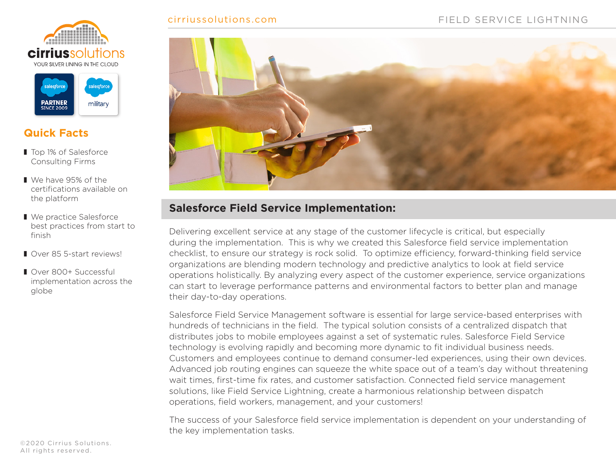





#### **Quick Facts**

- Top 1% of Salesforce Consulting Firms
- We have 95% of the certifications available on the platform
- We practice Salesforce best practices from start to finish
- Over 85 5-start reviews!
- ❚ Over 800+ Successful implementation across the globe



#### **Salesforce Field Service Implementation:**

Delivering excellent service at any stage of the customer lifecycle is critical, but especially during the implementation. This is why we created this Salesforce field service implementation checklist, to ensure our strategy is rock solid. To optimize efficiency, forward-thinking field service organizations are blending modern technology and predictive analytics to look at field service operations holistically. By analyzing every aspect of the customer experience, service organizations can start to leverage performance patterns and environmental factors to better plan and manage their day-to-day operations.

Salesforce Field Service Management software is essential for large service-based enterprises with hundreds of technicians in the field. The typical solution consists of a centralized dispatch that distributes jobs to mobile employees against a set of systematic rules. Salesforce Field Service technology is evolving rapidly and becoming more dynamic to fit individual business needs. Customers and employees continue to demand consumer-led experiences, using their own devices. Advanced job routing engines can squeeze the white space out of a team's day without threatening wait times, first-time fix rates, and customer satisfaction. Connected field service management solutions, like Field Service Lightning, create a harmonious relationship between dispatch operations, field workers, management, and your customers!

The success of your Salesforce field service implementation is dependent on your understanding of the key implementation tasks.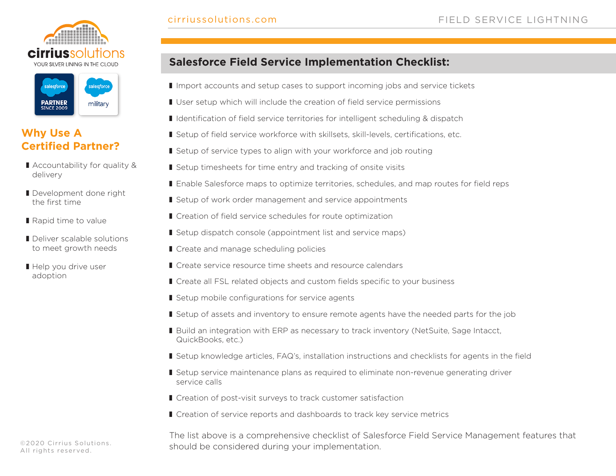



#### **Why Use A Certified Partner?**

- Accountability for quality & delivery
- Development done right the first time
- Rapid time to value
- Deliver scalable solutions to meet growth needs
- Help you drive user adoption

#### **Salesforce Field Service Implementation Checklist:**

- Import accounts and setup cases to support incoming jobs and service tickets
- User setup which will include the creation of field service permissions
- Identification of field service territories for intelligent scheduling & dispatch
- Setup of field service workforce with skillsets, skill-levels, certifications, etc.
- Setup of service types to align with your workforce and job routing
- Setup timesheets for time entry and tracking of onsite visits
- Enable Salesforce maps to optimize territories, schedules, and map routes for field reps
- Setup of work order management and service appointments
- Creation of field service schedules for route optimization
- Setup dispatch console (appointment list and service maps)
- Create and manage scheduling policies
- Create service resource time sheets and resource calendars
- Create all FSL related objects and custom fields specific to your business
- Setup mobile configurations for service agents
- Setup of assets and inventory to ensure remote agents have the needed parts for the job
- Build an integration with ERP as necessary to track inventory (NetSuite, Sage Intacct, QuickBooks, etc.)
- Setup knowledge articles, FAQ's, installation instructions and checklists for agents in the field
- Setup service maintenance plans as required to eliminate non-revenue generating driver service calls
- Creation of post-visit surveys to track customer satisfaction
- Creation of service reports and dashboards to track key service metrics

The list above is a comprehensive checklist of Salesforce Field Service Management features that should be considered during your implementation.

©2020 Cirrius Solutions. All rights reserved.